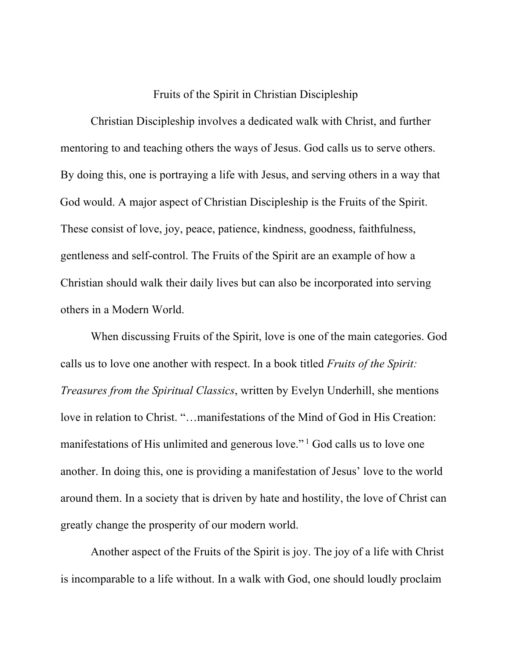## Fruits of the Spirit in Christian Discipleship

Christian Discipleship involves a dedicated walk with Christ, and further mentoring to and teaching others the ways of Jesus. God calls us to serve others. By doing this, one is portraying a life with Jesus, and serving others in a way that God would. A major aspect of Christian Discipleship is the Fruits of the Spirit. These consist of love, joy, peace, patience, kindness, goodness, faithfulness, gentleness and self-control. The Fruits of the Spirit are an example of how a Christian should walk their daily lives but can also be incorporated into serving others in a Modern World.

When discussing Fruits of the Spirit, love is one of the main categories. God calls us to love one another with respect. In a book titled *Fruits of the Spirit: Treasures from the Spiritual Classics*, written by Evelyn Underhill, she mentions love in relation to Christ. "…manifestations of the Mind of God in His Creation: manifestations of His unlimited and generous love." <sup>1</sup> God calls us to love one another. In doing this, one is providing a manifestation of Jesus' love to the world around them. In a society that is driven by hate and hostility, the love of Christ can greatly change the prosperity of our modern world.

Another aspect of the Fruits of the Spirit is joy. The joy of a life with Christ is incomparable to a life without. In a walk with God, one should loudly proclaim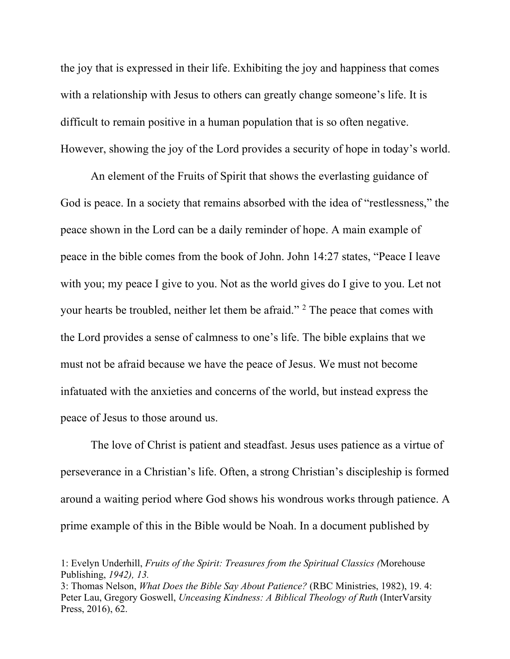the joy that is expressed in their life. Exhibiting the joy and happiness that comes with a relationship with Jesus to others can greatly change someone's life. It is difficult to remain positive in a human population that is so often negative. However, showing the joy of the Lord provides a security of hope in today's world.

An element of the Fruits of Spirit that shows the everlasting guidance of God is peace. In a society that remains absorbed with the idea of "restlessness," the peace shown in the Lord can be a daily reminder of hope. A main example of peace in the bible comes from the book of John. John 14:27 states, "Peace I leave with you; my peace I give to you. Not as the world gives do I give to you. Let not your hearts be troubled, neither let them be afraid." 2 The peace that comes with the Lord provides a sense of calmness to one's life. The bible explains that we must not be afraid because we have the peace of Jesus. We must not become infatuated with the anxieties and concerns of the world, but instead express the peace of Jesus to those around us.

The love of Christ is patient and steadfast. Jesus uses patience as a virtue of perseverance in a Christian's life. Often, a strong Christian's discipleship is formed around a waiting period where God shows his wondrous works through patience. A prime example of this in the Bible would be Noah. In a document published by

<sup>1:</sup> Evelyn Underhill, *Fruits of the Spirit: Treasures from the Spiritual Classics (*Morehouse Publishing, *1942), 13.* 

<sup>3:</sup> Thomas Nelson, *What Does the Bible Say About Patience?* (RBC Ministries, 1982), 19. 4: Peter Lau, Gregory Goswell, *Unceasing Kindness: A Biblical Theology of Ruth* (InterVarsity Press, 2016), 62.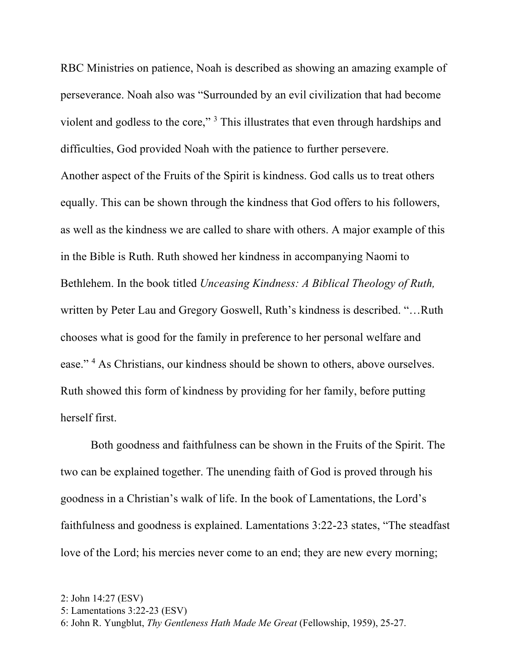RBC Ministries on patience, Noah is described as showing an amazing example of perseverance. Noah also was "Surrounded by an evil civilization that had become violent and godless to the core," 3 This illustrates that even through hardships and difficulties, God provided Noah with the patience to further persevere.

Another aspect of the Fruits of the Spirit is kindness. God calls us to treat others equally. This can be shown through the kindness that God offers to his followers, as well as the kindness we are called to share with others. A major example of this in the Bible is Ruth. Ruth showed her kindness in accompanying Naomi to Bethlehem. In the book titled *Unceasing Kindness: A Biblical Theology of Ruth,*  written by Peter Lau and Gregory Goswell, Ruth's kindness is described. "…Ruth chooses what is good for the family in preference to her personal welfare and ease."<sup>4</sup> As Christians, our kindness should be shown to others, above ourselves. Ruth showed this form of kindness by providing for her family, before putting herself first.

Both goodness and faithfulness can be shown in the Fruits of the Spirit. The two can be explained together. The unending faith of God is proved through his goodness in a Christian's walk of life. In the book of Lamentations, the Lord's faithfulness and goodness is explained. Lamentations 3:22-23 states, "The steadfast love of the Lord; his mercies never come to an end; they are new every morning;

<sup>2:</sup> John 14:27 (ESV)

<sup>5:</sup> Lamentations 3:22-23 (ESV)

<sup>6:</sup> John R. Yungblut, *Thy Gentleness Hath Made Me Great* (Fellowship, 1959), 25-27.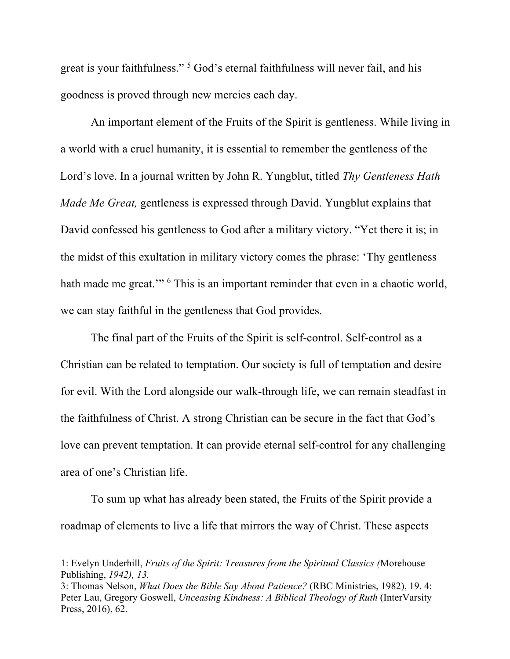great is your faithfulness." 5 God's eternal faithfulness will never fail, and his goodness is proved through new mercies each day.

An important element of the Fruits of the Spirit is gentleness. While living in a world with a cruel humanity, it is essential to remember the gentleness of the Lord's love. In a journal written by John R. Yungblut, titled *Thy Gentleness Hath Made Me Great,* gentleness is expressed through David. Yungblut explains that David confessed his gentleness to God after a military victory. "Yet there it is; in the midst of this exultation in military victory comes the phrase: 'Thy gentleness hath made me great."<sup>6</sup> This is an important reminder that even in a chaotic world, we can stay faithful in the gentleness that God provides.

The final part of the Fruits of the Spirit is self-control. Self-control as a Christian can be related to temptation. Our society is full of temptation and desire for evil. With the Lord alongside our walk-through life, we can remain steadfast in the faithfulness of Christ. A strong Christian can be secure in the fact that God's love can prevent temptation. It can provide eternal self-control for any challenging area of one's Christian life.

To sum up what has already been stated, the Fruits of the Spirit provide a roadmap of elements to live a life that mirrors the way of Christ. These aspects

<sup>1:</sup> Evelyn Underhill, *Fruits of the Spirit: Treasures from the Spiritual Classics (*Morehouse Publishing, *1942), 13.* 

<sup>3:</sup> Thomas Nelson, *What Does the Bible Say About Patience?* (RBC Ministries, 1982), 19. 4: Peter Lau, Gregory Goswell, *Unceasing Kindness: A Biblical Theology of Ruth* (InterVarsity Press, 2016), 62.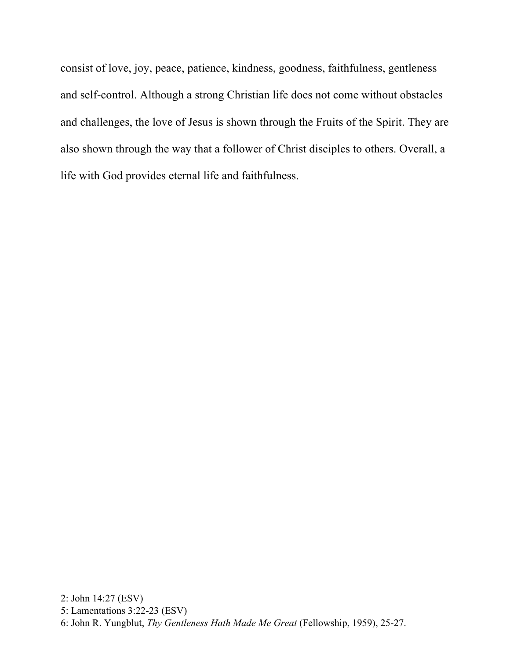consist of love, joy, peace, patience, kindness, goodness, faithfulness, gentleness and self-control. Although a strong Christian life does not come without obstacles and challenges, the love of Jesus is shown through the Fruits of the Spirit. They are also shown through the way that a follower of Christ disciples to others. Overall, a life with God provides eternal life and faithfulness.